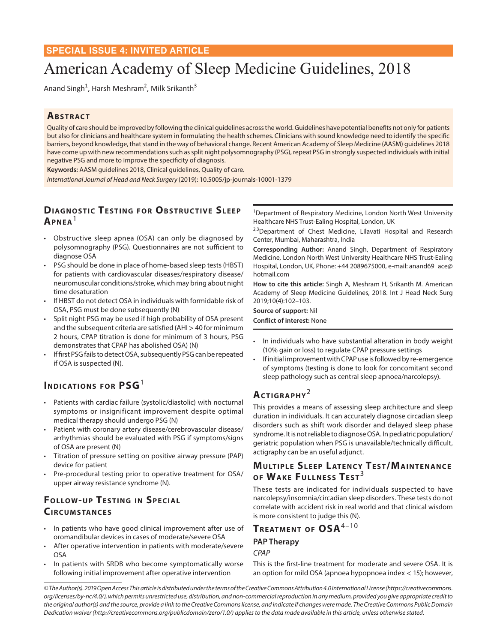## **SPECIAL ISSUE 4: INVITED ARTICLE**

# American Academy of Sleep Medicine Guidelines, 2018

Anand Singh<sup>1</sup>, Harsh Meshram<sup>2</sup>, Milk Srikanth<sup>3</sup>

## **ABSTRACT**

Quality of care should be improved by following the clinical guidelines across the world. Guidelines have potential benefits not only for patients but also for clinicians and healthcare system in formulating the health schemes. Clinicians with sound knowledge need to identify the specific barriers, beyond knowledge, that stand in the way of behavioral change. Recent American Academy of Sleep Medicine (AASM) guidelines 2018 have come up with new recommendations such as split night polysomnography (PSG), repeat PSG in strongly suspected individuals with initial negative PSG and more to improve the specificity of diagnosis.

**Keywords:** AASM guidelines 2018, Clinical guidelines, Quality of care.

*International Journal of Head and Neck Surgery* (2019): 10.5005/jp-journals-10001-1379

# **DIAGNOSTIC TESTING FOR OBSTRUCTIVE SLEEP Ap n ea**<sup>1</sup>

- Obstructive sleep apnea (OSA) can only be diagnosed by polysomnography (PSG). Questionnaires are not sufficient to diagnose OSA
- PSG should be done in place of home-based sleep tests (HBST) for patients with cardiovascular diseases/respiratory disease/ neuromuscular conditions/stroke, which may bring about night time desaturation
- If HBST do not detect OSA in individuals with formidable risk of OSA, PSG must be done subsequently (N)
- Split night PSG may be used if high probability of OSA present and the subsequent criteria are satisfied (AHI > 40 for minimum 2 hours, CPAP titration is done for minimum of 3 hours, PSG demonstrates that CPAP has abolished OSA) (N)
- If first PSG fails to detect OSA, subsequently PSG can be repeated if OSA is suspected (N).

# **INDICATIONS FOR PSG**<sup>1</sup>

- Patients with cardiac failure (systolic/diastolic) with nocturnal symptoms or insignificant improvement despite optimal medical therapy should undergo PSG (N)
- Patient with coronary artery disease/cerebrovascular disease/ arrhythmias should be evaluated with PSG if symptoms/signs of OSA are present (N)
- Titration of pressure setting on positive airway pressure (PAP) device for patient
- Pre-procedural testing prior to operative treatment for OSA/ upper airway resistance syndrome (N).

# **FOLLOW-UP TESTING IN SPECIAL CIRCUMSTANCES**

- In patients who have good clinical improvement after use of oromandibular devices in cases of moderate/severe OSA
- After operative intervention in patients with moderate/severe OSA
- In patients with SRDB who become symptomatically worse following initial improvement after operative intervention

<sup>1</sup>Department of Respiratory Medicine, London North West University Healthcare NHS Trust-Ealing Hospital, London, UK

<sup>2,3</sup>Department of Chest Medicine, Lilavati Hospital and Research Center, Mumbai, Maharashtra, India

**Corresponding Author:** Anand Singh, Department of Respiratory Medicine, London North West University Healthcare NHS Trust-Ealing Hospital, London, UK, Phone: +44 2089675000, e-mail: anand69\_ace@ hotmail.com

**How to cite this article:** Singh A, Meshram H, Srikanth M*.* American Academy of Sleep Medicine Guidelines, 2018. Int J Head Neck Surg 2019;10(4):102–103.

**Source of support:** Nil **Conflict of interest:** None

- In individuals who have substantial alteration in body weight (10% gain or loss) to regulate CPAP pressure settings
- If initial improvement with CPAP use is followed by re-emergence of symptoms (testing is done to look for concomitant second sleep pathology such as central sleep apnoea/narcolepsy).

# ACTIGRAPHY<sup>2</sup>

This provides a means of assessing sleep architecture and sleep duration in individuals. It can accurately diagnose circadian sleep disorders such as shift work disorder and delayed sleep phase syndrome. It is not reliable to diagnose OSA. In pediatric population/ geriatric population when PSG is unavailable/technically difficult, actigraphy can be an useful adjunct.

# **MULTIPLE SLEEP LATENCY TEST/MAINTENANCE OF WAKE FULLNESS TEST**<sup>3</sup>

These tests are indicated for individuals suspected to have narcolepsy/insomnia/circadian sleep disorders. These tests do not correlate with accident risk in real world and that clinical wisdom is more consistent to judge this (N).

# **TREATMENT OF OSA<sup>4-10</sup> PAP Therapy** *CPAP*

This is the first-line treatment for moderate and severe OSA. It is an option for mild OSA (apnoea hypopnoea index < 15); however,

*© The Author(s). 2019 Open Access This article is distributed under the terms of the Creative Commons Attribution 4.0 International License (https://creativecommons. org/licenses/by-nc/4.0/), which permits unrestricted use, distribution, and non-commercial reproduction in any medium, provided you give appropriate credit to the original author(s) and the source, provide a link to the Creative Commons license, and indicate if changes were made. The Creative Commons Public Domain Dedication waiver (http://creativecommons.org/publicdomain/zero/1.0/) applies to the data made available in this article, unless otherwise stated.*